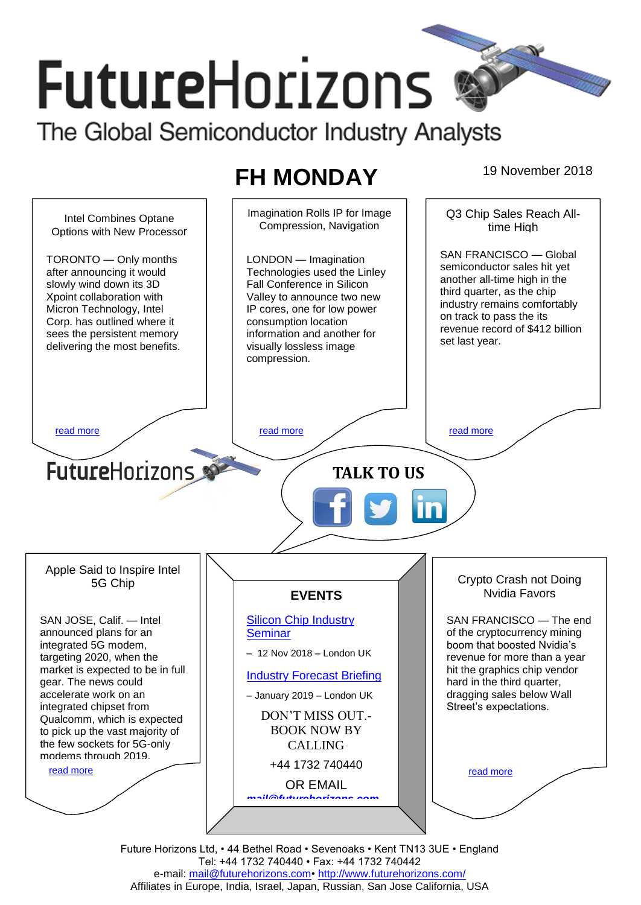# **FutureHorizons** The Global Semiconductor Industry Analysts

## **FH MONDAY** 19 November 2018

Imagination Rolls IP for Image Q3 Chip Sales Reach All-Intel Combines Optane Compression, Navigation time High Options with New Processor SAN FRANCISCO — Global LONDON — Imagination TORONTO — Only months semiconductor sales hit yet after announcing it would Technologies used the Linley another all-time high in the Fall Conference in Silicon slowly wind down its 3D third quarter, as the chip Xpoint collaboration with Valley to announce two new industry remains comfortably Micron Technology, Intel IP cores, one for low power on track to pass the its Corp. has outlined where it consumption location revenue record of \$412 billion sees the persistent memory information and another for set last year. delivering the most benefits. visually lossless image compression. [read more](#page-1-1) that the second contract the second contract of the read more that the read more that the read more **Future**Horizons **TALK TO US** Apple Said to Inspire Intel Crypto Crash not Doing 5G Chip Nvidia Favors **EVENTS** SAN JOSE, Calif. — Intel [Silicon Chip Industry](http://www.futurehorizons.com/page/12/silicon-chip-training)  SAN FRANCISCO — The end announced plans for an **[Seminar](http://www.futurehorizons.com/page/12/silicon-chip-training)** of the cryptocurrency mining boom that boosted Nvidia's integrated 5G modem, – 12 Nov 2018 – London UK targeting 2020, when the revenue for more than a year market is expected to be in full hit the graphics chip vendor [Industry Forecast Briefing](http://www.futurehorizons.com/page/13/Semiconductor-Market-Forecast-Seminar) gear. The news could hard in the third quarter, accelerate work on an dragging sales below Wall – January 2019 – London UK integrated chipset from Street's expectations. DON'T MISS OUT.- Qualcomm, which is expected BOOK NOW BY to pick up the vast majority of the few sockets for 5G-only CALLING modems through 2019.+44 1732 740440 [read more](#page-1-3) [read more](#page-1-4) OR EMAIL *[mail@futurehorizons.com](mailto:mail@futurehorizons.com)*

> Future Horizons Ltd, • 44 Bethel Road • Sevenoaks • Kent TN13 3UE • England Tel: +44 1732 740440 • Fax: +44 1732 740442 e-mail: mail@futurehorizons.com• http://www.futurehorizons.com/ Affiliates in Europe, India, Israel, Japan, Russian, San Jose California, USA